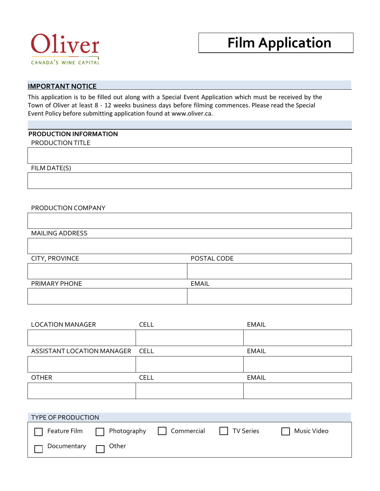

# **Film Application**

# **IMPORTANT NOTICE**

This application is to be filled out along with a Special Event Application which must be received by the Town of Oliver at least 8 - 12 weeks business days before filming commences. Please read the Special Event Policy before submitting application found at www.oliver.ca.

## **PRODUCTION INFORMATION**

PRODUCTION TITLE

FILM DATE(S)

### PRODUCTION COMPANY

MAILING ADDRESS

| CITY, PROVINCE | POSTAL CODE  |
|----------------|--------------|
|                |              |
| PRIMARY PHONE  | <b>EMAIL</b> |
|                |              |
|                |              |

| <b>LOCATION MANAGER</b>         | CELL        | <b>EMAIL</b> |
|---------------------------------|-------------|--------------|
|                                 |             |              |
| ASSISTANT LOCATION MANAGER CELL |             | <b>EMAIL</b> |
|                                 |             |              |
| <b>OTHER</b>                    | <b>CELL</b> | <b>EMAIL</b> |
|                                 |             |              |

| <b>TYPE OF PRODUCTION</b>       |                                                                           |  |             |
|---------------------------------|---------------------------------------------------------------------------|--|-------------|
|                                 | $\Box$ Feature Film $\Box$ Photography $\Box$ Commercial $\Box$ TV Series |  | Music Video |
| $\Box$ Documentary $\Box$ Other |                                                                           |  |             |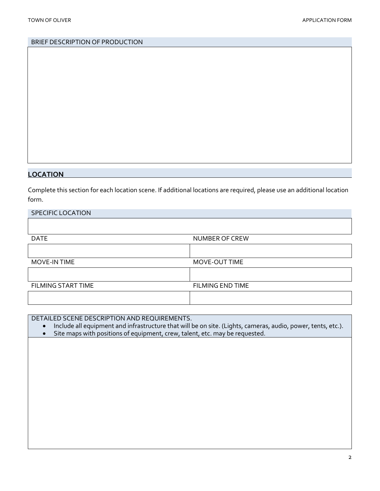## BRIEF DESCRIPTION OF PRODUCTION

## **LOCATION**

Complete this section for each location scene. If additional locations are required, please use an additional location form.

| SPECIFIC LOCATION  |                         |
|--------------------|-------------------------|
|                    |                         |
| <b>DATE</b>        | NUMBER OF CREW          |
|                    |                         |
| MOVE-IN TIME       | MOVE-OUT TIME           |
|                    |                         |
| FILMING START TIME | <b>FILMING END TIME</b> |
|                    |                         |

# DETAILED SCENE DESCRIPTION AND REQUIREMENTS.

- Include all equipment and infrastructure that will be on site. (Lights, cameras, audio, power, tents, etc.).
- Site maps with positions of equipment, crew, talent, etc. may be requested.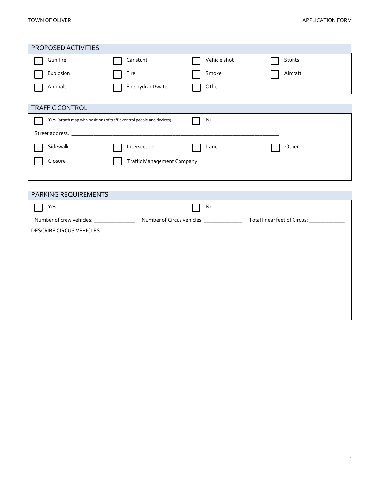### TOWN OF OLIVER **APPLICATION FORM**

| PROPOSED ACTIVITIES             |                                                                       |              |          |
|---------------------------------|-----------------------------------------------------------------------|--------------|----------|
| Gun fire                        | Car stunt                                                             | Vehicle shot | Stunts   |
| Explosion                       | Fire                                                                  | Smoke        | Aircraft |
| Animals                         | Fire hydrant/water                                                    | Other        |          |
| <b>TRAFFIC CONTROL</b>          |                                                                       |              |          |
|                                 | Yes (attach map with positions of traffic control people and devices) | No           |          |
|                                 |                                                                       |              |          |
| Sidewalk                        | Intersection                                                          | Lane         | Other    |
| Closure                         |                                                                       |              |          |
|                                 |                                                                       |              |          |
|                                 |                                                                       |              |          |
|                                 |                                                                       |              |          |
| PARKING REQUIREMENTS            |                                                                       |              |          |
| Yes                             |                                                                       | No           |          |
|                                 |                                                                       |              |          |
| <b>DESCRIBE CIRCUS VEHICLES</b> |                                                                       |              |          |
|                                 |                                                                       |              |          |
|                                 |                                                                       |              |          |
|                                 |                                                                       |              |          |
|                                 |                                                                       |              |          |
|                                 |                                                                       |              |          |
|                                 |                                                                       |              |          |
|                                 |                                                                       |              |          |